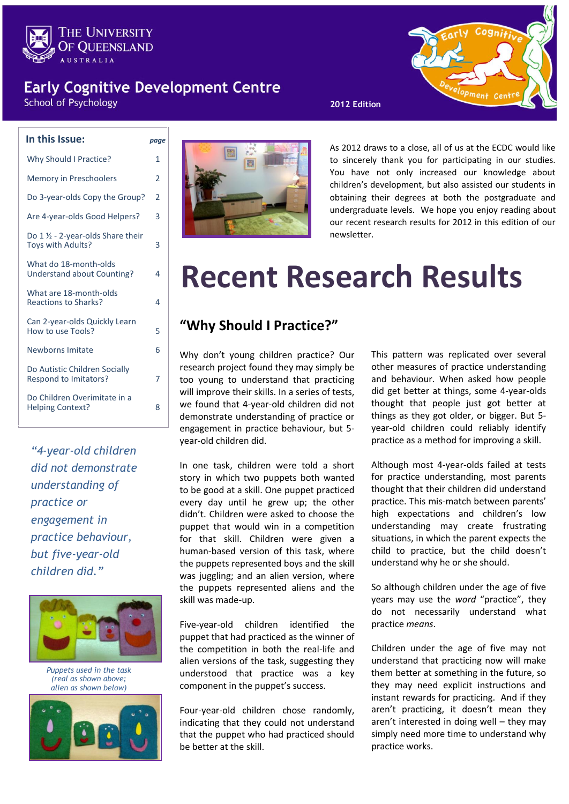

### **Early Cognitive Development Centre**

**School of Psychology** 

| In this Issue:                                                | page           |
|---------------------------------------------------------------|----------------|
| <b>Why Should I Practice?</b>                                 | 1              |
| <b>Memory in Preschoolers</b>                                 | 2              |
| Do 3-year-olds Copy the Group?                                | $\overline{2}$ |
| Are 4-year-olds Good Helpers?                                 | 3              |
| Do 1 1/2 - 2-year-olds Share their<br>Toys with Adults?       | 3              |
| What do 18-month-olds<br>Understand about Counting?           | 4              |
| What are 18-month-olds<br><b>Reactions to Sharks?</b>         | 4              |
| Can 2-year-olds Quickly Learn<br>How to use Tools?            | 5              |
| Newborns Imitate                                              | 6              |
| Do Autistic Children Socially<br><b>Respond to Imitators?</b> | 7              |
| Do Children Overimitate in a<br><b>Helping Context?</b>       | 8              |
|                                                               |                |

*"4-year-old children did not demonstrate understanding of practice or engagement in practice behaviour, but five-year-old children did."*



*Puppets used in the task (real as shown above; alien as shown below)*





As 2012 draws to a close, all of us at the ECDC would like to sincerely thank you for participating in our studies. You have not only increased our knowledge about children's development, but also assisted our students in obtaining their degrees at both the postgraduate and undergraduate levels. We hope you enjoy reading about our recent research results for 2012 in this edition of our newsletter.

men+

# **Recent Research Results**

### **"Why Should I Practice?"**

Why don't young children practice? Our research project found they may simply be too young to understand that practicing will improve their skills. In a series of tests, we found that 4-year-old children did not demonstrate understanding of practice or engagement in practice behaviour, but 5 year-old children did.

In one task, children were told a short story in which two puppets both wanted to be good at a skill. One puppet practiced every day until he grew up; the other didn't. Children were asked to choose the puppet that would win in a competition for that skill. Children were given a human-based version of this task, where the puppets represented boys and the skill was juggling; and an alien version, where the puppets represented aliens and the skill was made-up.

Five-year-old children identified the puppet that had practiced as the winner of the competition in both the real-life and alien versions of the task, suggesting they understood that practice was a key component in the puppet's success.

Four-year-old children chose randomly, indicating that they could not understand that the puppet who had practiced should be better at the skill.

This pattern was replicated over several other measures of practice understanding and behaviour. When asked how people did get better at things, some 4-year-olds thought that people just got better at things as they got older, or bigger. But 5 year-old children could reliably identify practice as a method for improving a skill.

Although most 4-year-olds failed at tests for practice understanding, most parents thought that their children did understand practice. This mis-match between parents' high expectations and children's low understanding may create frustrating situations, in which the parent expects the child to practice, but the child doesn't understand why he or she should.

So although children under the age of five years may use the *word* "practice", they do not necessarily understand what practice *means*.

Children under the age of five may not understand that practicing now will make them better at something in the future, so they may need explicit instructions and instant rewards for practicing. And if they aren't practicing, it doesn't mean they aren't interested in doing well – they may simply need more time to understand why practice works.

#### **2012 Edition**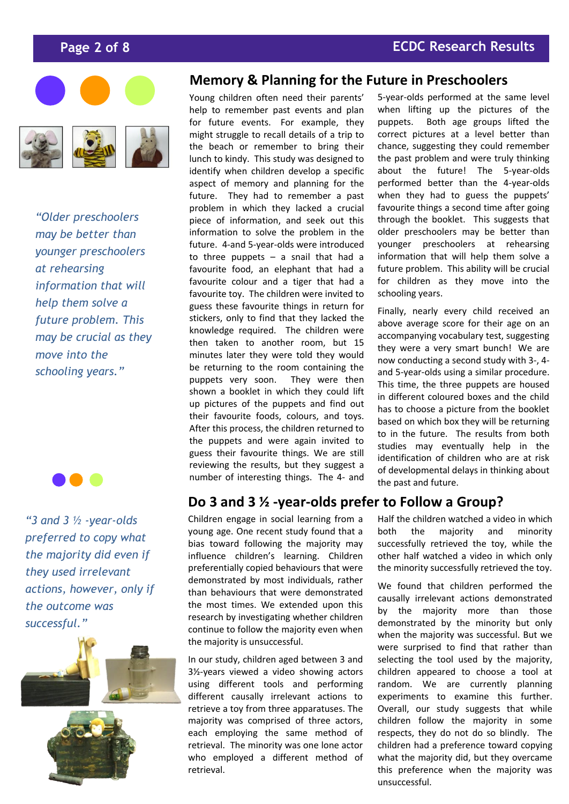



*"Older preschoolers may be better than younger preschoolers at rehearsing information that will help them solve a future problem. This may be crucial as they move into the schooling years."*



*"3 and 3 ½ -year-olds preferred to copy what the majority did even if they used irrelevant actions, however, only if the outcome was successful."*



#### **Memory & Planning for the Future in Preschoolers**

Young children often need their parents' help to remember past events and plan for future events. For example, they might struggle to recall details of a trip to the beach or remember to bring their lunch to kindy. This study was designed to identify when children develop a specific aspect of memory and planning for the future. They had to remember a past problem in which they lacked a crucial piece of information, and seek out this information to solve the problem in the future. 4-and 5-year-olds were introduced to three puppets  $-$  a snail that had a favourite food, an elephant that had a favourite colour and a tiger that had a favourite toy. The children were invited to guess these favourite things in return for stickers, only to find that they lacked the knowledge required. The children were then taken to another room, but 15 minutes later they were told they would be returning to the room containing the puppets very soon. They were then shown a booklet in which they could lift up pictures of the puppets and find out their favourite foods, colours, and toys. After this process, the children returned to the puppets and were again invited to guess their favourite things. We are still reviewing the results, but they suggest a number of interesting things. The 4- and

### Do 3 and 3 ½ -year-olds prefer to Follow a Group?

Children engage in social learning from a young age. One recent study found that a bias toward following the majority may influence children's learning. Children preferentially copied behaviours that were demonstrated by most individuals, rather than behaviours that were demonstrated the most times. We extended upon this research by investigating whether children continue to follow the majority even when the majority is unsuccessful.

In our study, children aged between 3 and 3½-years viewed a video showing actors using different tools and performing different causally irrelevant actions to retrieve a toy from three apparatuses. The majority was comprised of three actors, each employing the same method of retrieval. The minority was one lone actor who employed a different method of retrieval.

5-year-olds performed at the same level when lifting up the pictures of the puppets. Both age groups lifted the correct pictures at a level better than chance, suggesting they could remember the past problem and were truly thinking about the future! The 5-year-olds performed better than the 4-year-olds when they had to guess the puppets' favourite things a second time after going through the booklet. This suggests that older preschoolers may be better than younger preschoolers at rehearsing information that will help them solve a future problem. This ability will be crucial for children as they move into the schooling years.

Finally, nearly every child received an above average score for their age on an accompanying vocabulary test, suggesting they were a very smart bunch! We are now conducting a second study with 3-, 4 and 5-year-olds using a similar procedure. This time, the three puppets are housed in different coloured boxes and the child has to choose a picture from the booklet based on which box they will be returning to in the future. The results from both studies may eventually help in the identification of children who are at risk of developmental delays in thinking about the past and future.

Half the children watched a video in which both the majority and minority successfully retrieved the toy, while the other half watched a video in which only the minority successfully retrieved the toy.

We found that children performed the causally irrelevant actions demonstrated by the majority more than those demonstrated by the minority but only when the majority was successful. But we were surprised to find that rather than selecting the tool used by the majority, children appeared to choose a tool at random. We are currently planning experiments to examine this further. Overall, our study suggests that while children follow the majority in some respects, they do not do so blindly. The children had a preference toward copying what the majority did, but they overcame this preference when the majority was unsuccessful.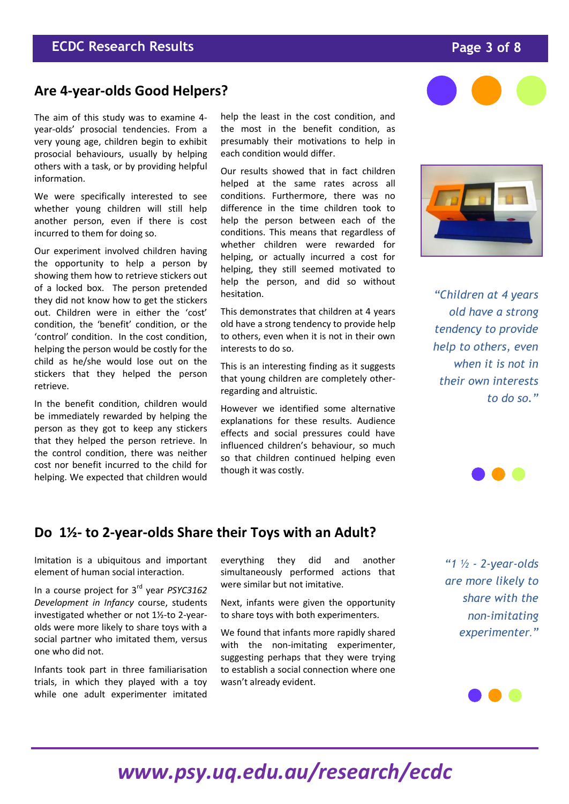## *www.psy.uq.edu.au/research/ecdc*

wasn't already evident.

### **ECDC Research Results Page 3 of 8**

### **Are 4-year-olds Good Helpers?**

The aim of this study was to examine 4 year-olds' prosocial tendencies. From a very young age, children begin to exhibit prosocial behaviours, usually by helping others with a task, or by providing helpful information.

We were specifically interested to see whether young children will still help another person, even if there is cost incurred to them for doing so.

Our experiment involved children having the opportunity to help a person by showing them how to retrieve stickers out of a locked box. The person pretended they did not know how to get the stickers out. Children were in either the 'cost' condition, the 'benefit' condition, or the 'control' condition. In the cost condition, helping the person would be costly for the child as he/she would lose out on the stickers that they helped the person retrieve.

In the benefit condition, children would be immediately rewarded by helping the person as they got to keep any stickers that they helped the person retrieve. In the control condition, there was neither cost nor benefit incurred to the child for helping. We expected that children would

Imitation is a ubiquitous and important element of human social interaction.

In a course project for 3rd year *PSYC3162 Development in Infancy* course, students investigated whether or not 1½-to 2-yearolds were more likely to share toys with a social partner who imitated them, versus

Infants took part in three familiarisation trials, in which they played with a toy while one adult experimenter imitated

one who did not.

**Do 1½- to 2-year-olds Share their Toys with an Adult?**

help the least in the cost condition, and the most in the benefit condition, as presumably their motivations to help in each condition would differ.

Our results showed that in fact children helped at the same rates across all conditions. Furthermore, there was no difference in the time children took to help the person between each of the conditions. This means that regardless of whether children were rewarded for helping, or actually incurred a cost for helping, they still seemed motivated to help the person, and did so without hesitation.

This demonstrates that children at 4 years old have a strong tendency to provide help to others, even when it is not in their own interests to do so.

This is an interesting finding as it suggests that young children are completely otherregarding and altruistic.

However we identified some alternative explanations for these results. Audience effects and social pressures could have influenced children's behaviour, so much so that children continued helping even though it was costly.

everything they did and another simultaneously performed actions that

Next, infants were given the opportunity to share toys with both experimenters.

We found that infants more rapidly shared with the non-imitating experimenter, suggesting perhaps that they were trying to establish a social connection where one

were similar but not imitative.

*old have a strong tendency to provide help to others, even when it is not in their own interests to do so."*

*"Children at 4 years* 

*are more likely to share with the non-imitating experimenter."*





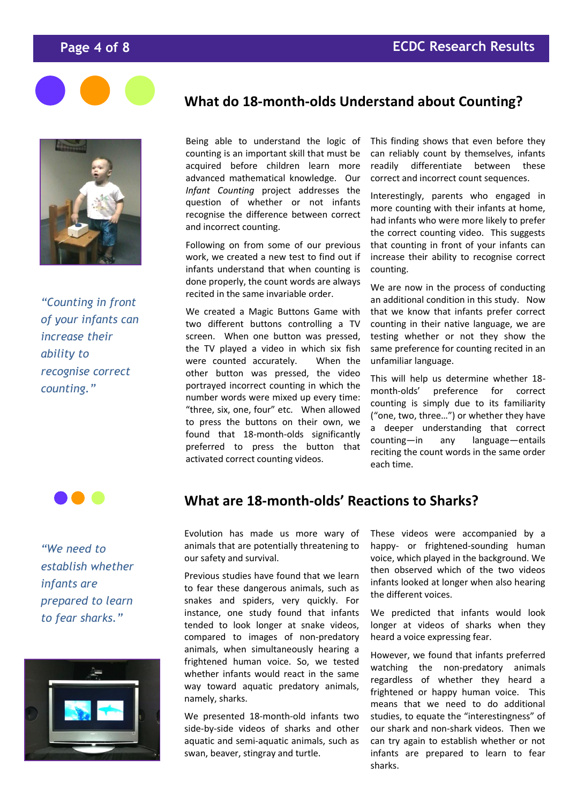



*"Counting in front of your infants can increase their ability to recognise correct counting."*



*"We need to establish whether infants are prepared to learn to fear sharks."*



#### **What do 18-month-olds Understand about Counting?**

Being able to understand the logic of counting is an important skill that must be acquired before children learn more advanced mathematical knowledge. Our *Infant Counting* project addresses the question of whether or not infants recognise the difference between correct and incorrect counting.

Following on from some of our previous work, we created a new test to find out if infants understand that when counting is done properly, the count words are always recited in the same invariable order.

We created a Magic Buttons Game with two different buttons controlling a TV screen. When one button was pressed, the TV played a video in which six fish were counted accurately. When the other button was pressed, the video portrayed incorrect counting in which the number words were mixed up every time: "three, six, one, four" etc. When allowed to press the buttons on their own, we found that 18-month-olds significantly preferred to press the button that activated correct counting videos.

This finding shows that even before they can reliably count by themselves, infants readily differentiate between these correct and incorrect count sequences.

Interestingly, parents who engaged in more counting with their infants at home, had infants who were more likely to prefer the correct counting video. This suggests that counting in front of your infants can increase their ability to recognise correct counting.

We are now in the process of conducting an additional condition in this study. Now that we know that infants prefer correct counting in their native language, we are testing whether or not they show the same preference for counting recited in an unfamiliar language.

This will help us determine whether 18 month-olds' preference for correct counting is simply due to its familiarity ("one, two, three…") or whether they have a deeper understanding that correct counting—in any language—entails reciting the count words in the same order each time.

#### **What are 18-month-olds' Reactions to Sharks?**

Evolution has made us more wary of animals that are potentially threatening to our safety and survival.

Previous studies have found that we learn to fear these dangerous animals, such as snakes and spiders, very quickly. For instance, one study found that infants tended to look longer at snake videos, compared to images of non-predatory animals, when simultaneously hearing a frightened human voice. So, we tested whether infants would react in the same way toward aquatic predatory animals, namely, sharks.

We presented 18-month-old infants two side-by-side videos of sharks and other aquatic and semi-aquatic animals, such as swan, beaver, stingray and turtle.

These videos were accompanied by a happy- or frightened-sounding human voice, which played in the background. We then observed which of the two videos infants looked at longer when also hearing the different voices.

We predicted that infants would look longer at videos of sharks when they heard a voice expressing fear.

However, we found that infants preferred watching the non-predatory animals regardless of whether they heard a frightened or happy human voice. This means that we need to do additional studies, to equate the "interestingness" of our shark and non-shark videos. Then we can try again to establish whether or not infants are prepared to learn to fear sharks.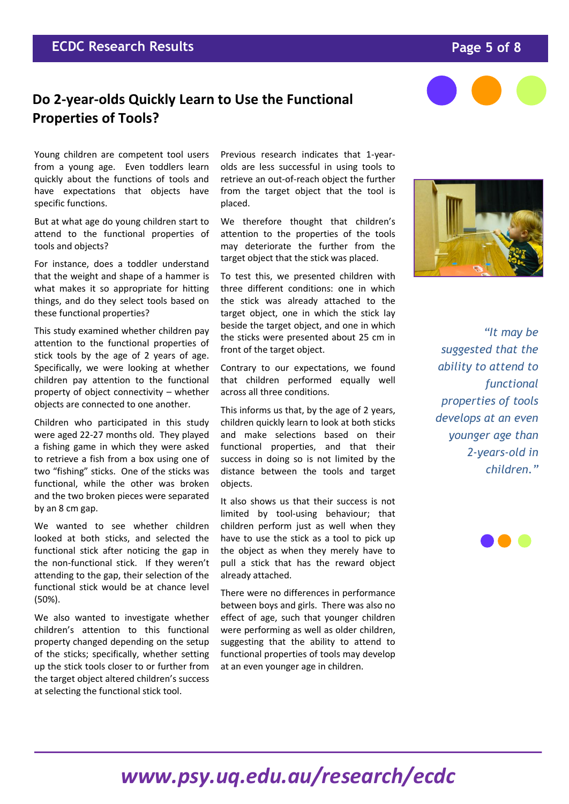### **Do 2-year-olds Quickly Learn to Use the Functional Properties of Tools?**

Young children are competent tool users from a young age. Even toddlers learn quickly about the functions of tools and have expectations that objects have specific functions.

But at what age do young children start to attend to the functional properties of tools and objects?

For instance, does a toddler understand that the weight and shape of a hammer is what makes it so appropriate for hitting things, and do they select tools based on these functional properties?

This study examined whether children pay attention to the functional properties of stick tools by the age of 2 years of age. Specifically, we were looking at whether children pay attention to the functional property of object connectivity – whether objects are connected to one another.

Children who participated in this study were aged 22-27 months old. They played a fishing game in which they were asked to retrieve a fish from a box using one of two "fishing" sticks. One of the sticks was functional, while the other was broken and the two broken pieces were separated by an 8 cm gap.

We wanted to see whether children looked at both sticks, and selected the functional stick after noticing the gap in the non-functional stick. If they weren't attending to the gap, their selection of the functional stick would be at chance level (50%).

We also wanted to investigate whether children's attention to this functional property changed depending on the setup of the sticks; specifically, whether setting up the stick tools closer to or further from the target object altered children's success at selecting the functional stick tool.

Previous research indicates that 1-yearolds are less successful in using tools to retrieve an out-of-reach object the further from the target object that the tool is placed.

We therefore thought that children's attention to the properties of the tools may deteriorate the further from the target object that the stick was placed.

To test this, we presented children with three different conditions: one in which the stick was already attached to the target object, one in which the stick lay beside the target object, and one in which the sticks were presented about 25 cm in front of the target object.

Contrary to our expectations, we found that children performed equally well across all three conditions.

This informs us that, by the age of 2 years, children quickly learn to look at both sticks and make selections based on their functional properties, and that their success in doing so is not limited by the distance between the tools and target objects.

It also shows us that their success is not limited by tool-using behaviour; that children perform just as well when they have to use the stick as a tool to pick up the object as when they merely have to pull a stick that has the reward object already attached.

There were no differences in performance between boys and girls. There was also no effect of age, such that younger children were performing as well as older children, suggesting that the ability to attend to functional properties of tools may develop at an even younger age in children.

*"It may be suggested that the ability to attend to functional properties of tools develops at an even younger age than 2-years-old in children."*







## *www.psy.uq.edu.au/research/ecdc*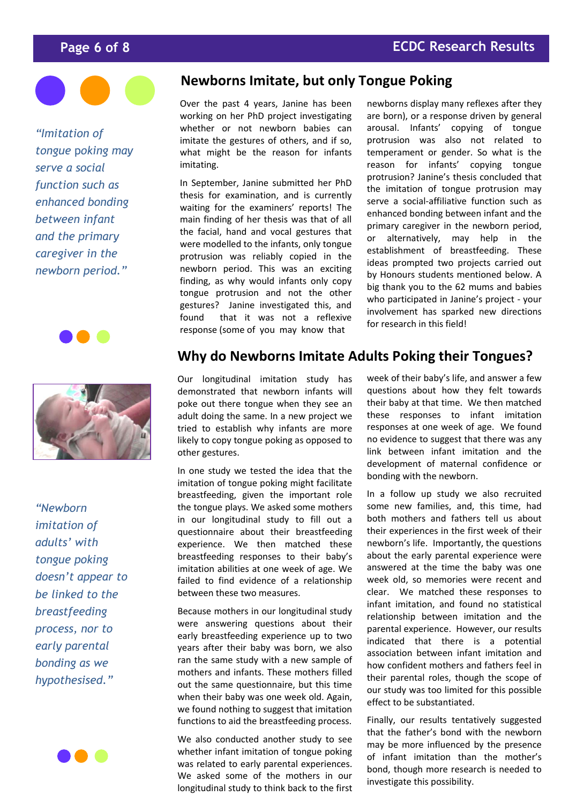

*"Imitation of tongue* p*oking may serve a social function such as enhanced bonding between infant and the primary caregiver in the newborn period."*





*"Newborn imitation of adults' with tongue poking doesn't appear to be linked to the breastfeeding process, nor to early parental bonding as we hypothesised."*



#### **Newborns Imitate, but only Tongue Poking**

Over the past 4 years, Janine has been working on her PhD project investigating whether or not newborn babies can imitate the gestures of others, and if so, what might be the reason for infants imitating.

In September, Janine submitted her PhD thesis for examination, and is currently waiting for the examiners' reports! The main finding of her thesis was that of all the facial, hand and vocal gestures that were modelled to the infants, only tongue protrusion was reliably copied in the newborn period. This was an exciting finding, as why would infants only copy tongue protrusion and not the other gestures? Janine investigated this, and found that it was not a reflexive response (some of you may know that

newborns display many reflexes after they are born), or a response driven by general arousal. Infants' copying of tongue protrusion was also not related to temperament or gender. So what is the reason for infants' copying tongue protrusion? Janine's thesis concluded that the imitation of tongue protrusion may serve a social-affiliative function such as enhanced bonding between infant and the primary caregiver in the newborn period, or alternatively, may help in the establishment of breastfeeding. These ideas prompted two projects carried out by Honours students mentioned below. A big thank you to the 62 mums and babies who participated in Janine's project - your involvement has sparked new directions for research in this field!

#### **Why do Newborns Imitate Adults Poking their Tongues?**

Our longitudinal imitation study has demonstrated that newborn infants will poke out there tongue when they see an adult doing the same. In a new project we tried to establish why infants are more likely to copy tongue poking as opposed to other gestures.

In one study we tested the idea that the imitation of tongue poking might facilitate breastfeeding, given the important role the tongue plays. We asked some mothers in our longitudinal study to fill out a questionnaire about their breastfeeding experience. We then matched these breastfeeding responses to their baby's imitation abilities at one week of age. We failed to find evidence of a relationship between these two measures.

Because mothers in our longitudinal study were answering questions about their early breastfeeding experience up to two years after their baby was born, we also ran the same study with a new sample of mothers and infants. These mothers filled out the same questionnaire, but this time when their baby was one week old. Again, we found nothing to suggest that imitation functions to aid the breastfeeding process.

We also conducted another study to see whether infant imitation of tongue poking was related to early parental experiences. We asked some of the mothers in our longitudinal study to think back to the first week of their baby's life, and answer a few questions about how they felt towards their baby at that time. We then matched these responses to infant imitation responses at one week of age. We found no evidence to suggest that there was any link between infant imitation and the development of maternal confidence or bonding with the newborn.

In a follow up study we also recruited some new families, and, this time, had both mothers and fathers tell us about their experiences in the first week of their newborn's life. Importantly, the questions about the early parental experience were answered at the time the baby was one week old, so memories were recent and clear. We matched these responses to infant imitation, and found no statistical relationship between imitation and the parental experience. However, our results indicated that there is a potential association between infant imitation and how confident mothers and fathers feel in their parental roles, though the scope of our study was too limited for this possible effect to be substantiated.

Finally, our results tentatively suggested that the father's bond with the newborn may be more influenced by the presence of infant imitation than the mother's bond, though more research is needed to investigate this possibility.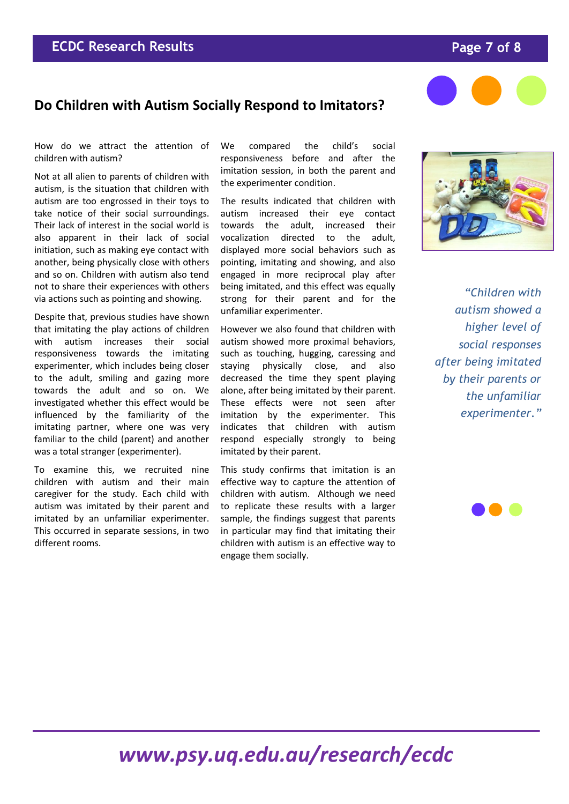## *www.psy.uq.edu.au/research/ecdc*

### **Do Children with Autism Socially Respond to Imitators?**

How do we attract the attention of children with autism?

Not at all alien to parents of children with autism, is the situation that children with autism are too engrossed in their toys to take notice of their social surroundings. Their lack of interest in the social world is also apparent in their lack of social initiation, such as making eye contact with another, being physically close with others and so on. Children with autism also tend not to share their experiences with others via actions such as pointing and showing.

Despite that, previous studies have shown that imitating the play actions of children with autism increases their social responsiveness towards the imitating experimenter, which includes being closer to the adult, smiling and gazing more towards the adult and so on. We investigated whether this effect would be influenced by the familiarity of the imitating partner, where one was very familiar to the child (parent) and another was a total stranger (experimenter).

To examine this, we recruited nine children with autism and their main caregiver for the study. Each child with autism was imitated by their parent and imitated by an unfamiliar experimenter. This occurred in separate sessions, in two different rooms.

We compared the child's social responsiveness before and after the imitation session, in both the parent and the experimenter condition.

The results indicated that children with autism increased their eye contact towards the adult, increased their vocalization directed to the adult, displayed more social behaviors such as pointing, imitating and showing, and also engaged in more reciprocal play after being imitated, and this effect was equally strong for their parent and for the unfamiliar experimenter.

However we also found that children with autism showed more proximal behaviors, such as touching, hugging, caressing and staying physically close, and also decreased the time they spent playing alone, after being imitated by their parent. These effects were not seen after imitation by the experimenter. This indicates that children with autism respond especially strongly to being imitated by their parent.

This study confirms that imitation is an effective way to capture the attention of children with autism. Although we need to replicate these results with a larger sample, the findings suggest that parents in particular may find that imitating their children with autism is an effective way to engage them socially.

*"Children with autism showed a higher level of social responses after being imitated by their parents or the unfamiliar experimenter."*